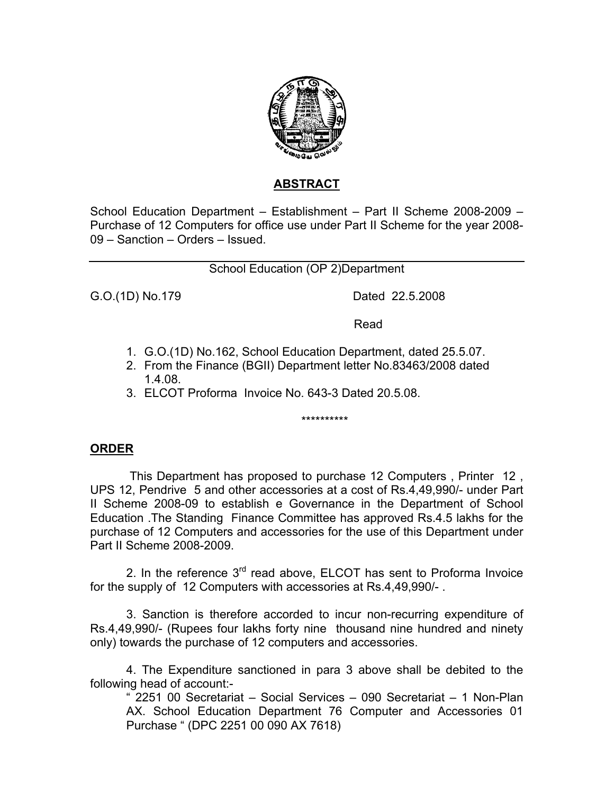

## **ABSTRACT**

School Education Department – Establishment – Part II Scheme 2008-2009 – Purchase of 12 Computers for office use under Part II Scheme for the year 2008- 09 – Sanction – Orders – Issued.

School Education (OP 2)Department

G.O.(1D) No.179 Dated 22.5.2008

**Read Read All Services and Services Services** 

- 1. G.O.(1D) No.162, School Education Department, dated 25.5.07.
- 2. From the Finance (BGII) Department letter No.83463/2008 dated 1.4.08.
- 3. ELCOT Proforma Invoice No. 643-3 Dated 20.5.08.

\*\*\*\*\*\*\*\*\*\*

## **ORDER**

 This Department has proposed to purchase 12 Computers , Printer 12 , UPS 12, Pendrive 5 and other accessories at a cost of Rs.4,49,990/- under Part II Scheme 2008-09 to establish e Governance in the Department of School Education .The Standing Finance Committee has approved Rs.4.5 lakhs for the purchase of 12 Computers and accessories for the use of this Department under Part II Scheme 2008-2009.

2. In the reference 3<sup>rd</sup> read above, ELCOT has sent to Proforma Invoice for the supply of 12 Computers with accessories at Rs.4,49,990/- .

 3. Sanction is therefore accorded to incur non-recurring expenditure of Rs.4,49,990/- (Rupees four lakhs forty nine thousand nine hundred and ninety only) towards the purchase of 12 computers and accessories.

 4. The Expenditure sanctioned in para 3 above shall be debited to the following head of account:-

" 2251 00 Secretariat – Social Services – 090 Secretariat – 1 Non-Plan AX. School Education Department 76 Computer and Accessories 01 Purchase " (DPC 2251 00 090 AX 7618)